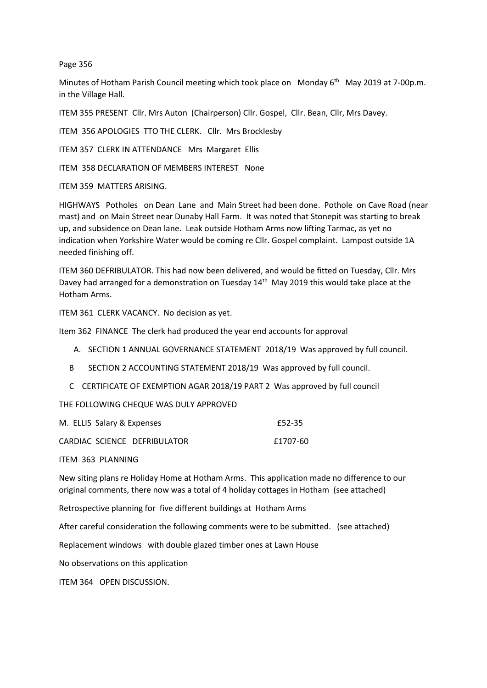## Page 356

Minutes of Hotham Parish Council meeting which took place on Monday 6<sup>th</sup> May 2019 at 7-00p.m. in the Village Hall.

ITEM 355 PRESENT Cllr. Mrs Auton (Chairperson) Cllr. Gospel, Cllr. Bean, Cllr, Mrs Davey.

ITEM 356 APOLOGIES TTO THE CLERK. Cllr. Mrs Brocklesby

ITEM 357 CLERK IN ATTENDANCE Mrs Margaret Ellis

ITEM 358 DECLARATION OF MEMBERS INTEREST None

ITEM 359 MATTERS ARISING.

HIGHWAYS Potholes on Dean Lane and Main Street had been done. Pothole on Cave Road (near mast) and on Main Street near Dunaby Hall Farm. It was noted that Stonepit was starting to break up, and subsidence on Dean lane. Leak outside Hotham Arms now lifting Tarmac, as yet no indication when Yorkshire Water would be coming re Cllr. Gospel complaint. Lampost outside 1A needed finishing off.

ITEM 360 DEFRIBULATOR. This had now been delivered, and would be fitted on Tuesday, Cllr. Mrs Davey had arranged for a demonstration on Tuesday 14<sup>th</sup> May 2019 this would take place at the Hotham Arms.

ITEM 361 CLERK VACANCY. No decision as yet.

Item 362 FINANCE The clerk had produced the year end accounts for approval

A. SECTION 1 ANNUAL GOVERNANCE STATEMENT 2018/19 Was approved by full council.

- B SECTION 2 ACCOUNTING STATEMENT 2018/19 Was approved by full council.
- C CERTIFICATE OF EXEMPTION AGAR 2018/19 PART 2 Was approved by full council

THE FOLLOWING CHEQUE WAS DULY APPROVED

| M. ELLIS Salary & Expenses   | £52-35   |  |
|------------------------------|----------|--|
| CARDIAC SCIENCE DEFRIBULATOR | £1707-60 |  |

ITEM 363 PLANNING

New siting plans re Holiday Home at Hotham Arms. This application made no difference to our original comments, there now was a total of 4 holiday cottages in Hotham (see attached)

Retrospective planning for five different buildings at Hotham Arms

After careful consideration the following comments were to be submitted. (see attached)

Replacement windows with double glazed timber ones at Lawn House

No observations on this application

ITEM 364 OPEN DISCUSSION.